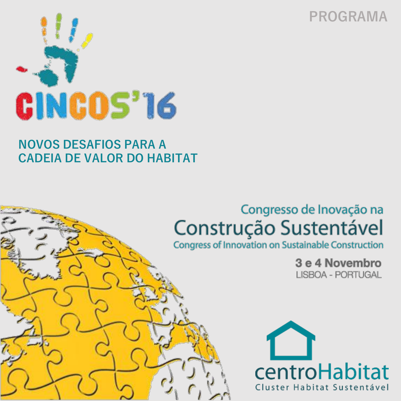



## **NOVOS DESAFIOS PARA A CADEIA DE VALOR DO HABITAT**

# Congresso de Inovação na Construção Sustentável

**Congress of Innovation on Sustainable Construction** 

3 e 4 Novembro LISBOA - PORTUGAL

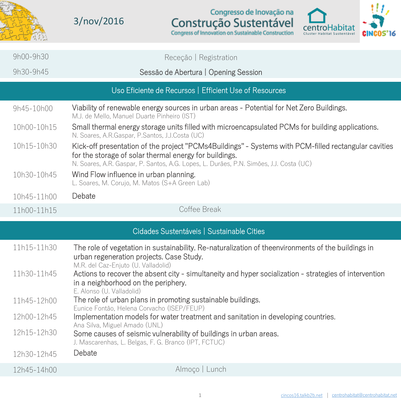

3/nov/2016

Congresso de Inovação na Construção Sustentável



|                                           | $9h00 - 9h30$                                          | Receção   Registration                                                                                                                                                                                                                                   |  |  |  |
|-------------------------------------------|--------------------------------------------------------|----------------------------------------------------------------------------------------------------------------------------------------------------------------------------------------------------------------------------------------------------------|--|--|--|
|                                           | 9h30-9h45                                              | Sessão de Abertura   Opening Session                                                                                                                                                                                                                     |  |  |  |
|                                           | Uso Eficiente de Recursos   Efficient Use of Resources |                                                                                                                                                                                                                                                          |  |  |  |
|                                           | 9h45-10h00                                             | Viability of renewable energy sources in urban areas - Potential for Net Zero Buildings.<br>M.J. de Mello. Manuel Duarte Pinheiro (IST)                                                                                                                  |  |  |  |
|                                           | 10h00-10h15                                            | Small thermal energy storage units filled with microencapsulated PCMs for building applications.<br>N. Soares, A.R.Gaspar, P.Santos, J.J.Costa (UC)                                                                                                      |  |  |  |
|                                           | 10h15-10h30                                            | Kick-off presentation of the project "PCMs4Buildings" - Systems with PCM-filled rectangular cavities<br>for the storage of solar thermal energy for buildings.<br>N. Soares, A.R. Gaspar, P. Santos, A.G. Lopes, L. Durães, P.N. Simões, J.J. Costa (UC) |  |  |  |
|                                           | 10h30-10h45                                            | Wind Flow influence in urban planning.<br>L. Soares, M. Corujo, M. Matos (S+A Green Lab)                                                                                                                                                                 |  |  |  |
|                                           | 10h45-11h00                                            | Debate                                                                                                                                                                                                                                                   |  |  |  |
|                                           | 11h00-11h15                                            | Coffee Break                                                                                                                                                                                                                                             |  |  |  |
| Cidades Sustentáveis   Sustainable Cities |                                                        |                                                                                                                                                                                                                                                          |  |  |  |
|                                           | 11h15-11h30                                            | The role of vegetation in sustainability. Re-naturalization of theenvironments of the buildings in<br>urban regeneration projects. Case Study.<br>M.R. del Caz-Enjuto (U. Valladolid)                                                                    |  |  |  |
|                                           | 11h30-11h45                                            | Actions to recover the absent city - simultaneity and hyper socialization - strategies of intervention<br>in a neighborhood on the periphery.<br>E. Alonso (U. Valladolid)                                                                               |  |  |  |
|                                           | 11h45-12h00                                            | The role of urban plans in promoting sustainable buildings.<br>Eunice Fontão, Helena Corvacho (ISEP/FEUP)                                                                                                                                                |  |  |  |
|                                           | 12h00-12h45                                            | Implementation models for water treatment and sanitation in developing countries.                                                                                                                                                                        |  |  |  |
|                                           | 12h15-12h30                                            | Ana Silva, Miguel Amado (UNL)<br>Some causes of seismic vulnerability of buildings in urban areas.                                                                                                                                                       |  |  |  |

J. Mascarenhas, L. Belgas, F. G. Branco (IPT, FCTUC)

Debate 12h30-12h45

12h45-14h00 Almoço | Lunch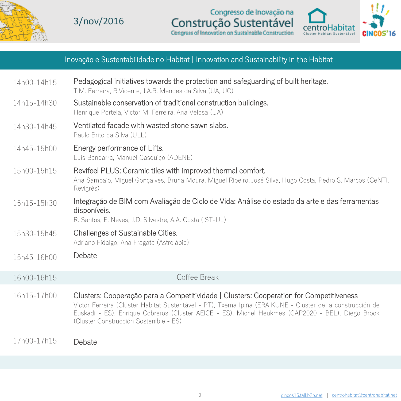

3/nov/2016

Congresso de Inovação na Construção Sustentável



#### Inovação e Sustentabilidade no Habitat | Innovation and Sustainability in the Habitat

| 14h00-14h15 | Pedagogical initiatives towards the protection and safeguarding of built heritage.<br>T.M. Ferreira, R.Vicente, J.A.R. Mendes da Silva (UA, UC)                                                                                                                                                                                                     |
|-------------|-----------------------------------------------------------------------------------------------------------------------------------------------------------------------------------------------------------------------------------------------------------------------------------------------------------------------------------------------------|
| 14h15-14h30 | Sustainable conservation of traditional construction buildings.<br>Henrique Portela, Victor M. Ferreira, Ana Velosa (UA)                                                                                                                                                                                                                            |
| 14h30-14h45 | Ventilated facade with wasted stone sawn slabs.<br>Paulo Brito da Silva (ULL)                                                                                                                                                                                                                                                                       |
| 14h45-15h00 | Energy performance of Lifts.<br>Luís Bandarra, Manuel Casquiço (ADENE)                                                                                                                                                                                                                                                                              |
| 15h00-15h15 | Revifeel PLUS: Ceramic tiles with improved thermal comfort.<br>Ana Sampaio, Miguel Goncalves, Bruna Moura, Miguel Ribeiro, José Silva, Hugo Costa, Pedro S. Marcos (CeNTI,<br>Revigrés)                                                                                                                                                             |
| 15h15-15h30 | Integração de BIM com Avaliação de Ciclo de Vida: Análise do estado da arte e das ferramentas<br>disponíveis.<br>R. Santos, E. Neves, J.D. Silvestre, A.A. Costa (IST-UL)                                                                                                                                                                           |
| 15h30-15h45 | Challenges of Sustainable Cities.<br>Adriano Fidalgo, Ana Fragata (Astrolábio)                                                                                                                                                                                                                                                                      |
| 15h45-16h00 | Debate                                                                                                                                                                                                                                                                                                                                              |
| 16h00-16h15 | Coffee Break                                                                                                                                                                                                                                                                                                                                        |
| 16h15-17h00 | Clusters: Cooperação para a Competitividade   Clusters: Cooperation for Competitiveness<br>Victor Ferreira (Cluster Habitat Sustentável - PT), Txema Ipiña (ERAIKUNE - Cluster de la construcción de<br>Euskadi - ES). Enrique Cobreros (Cluster AEICE - ES), Michel Heukmes (CAP2020 - BEL), Diego Brook<br>(Cluster Construcción Sostenible - ES) |

17h00-17h15

Debate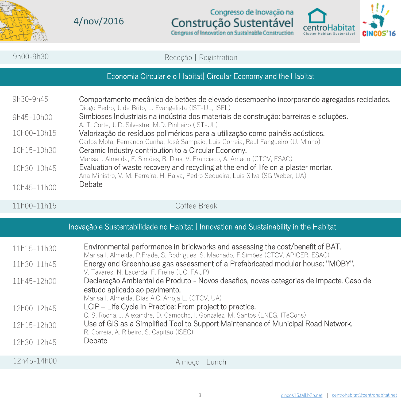

4/nov/2016

Congresso de Inovação na Construção Sustentável



| 9h00-9h30                                                                             | Receção   Registration                                                                                                                                                                                                                                                                                                                                                                                                                                                                                                                       |  |  |  |  |
|---------------------------------------------------------------------------------------|----------------------------------------------------------------------------------------------------------------------------------------------------------------------------------------------------------------------------------------------------------------------------------------------------------------------------------------------------------------------------------------------------------------------------------------------------------------------------------------------------------------------------------------------|--|--|--|--|
| Economia Circular e o Habitat  Circular Economy and the Habitat                       |                                                                                                                                                                                                                                                                                                                                                                                                                                                                                                                                              |  |  |  |  |
| 9h30-9h45                                                                             | Comportamento mecânico de betões de elevado desempenho incorporando agregados reciclados.                                                                                                                                                                                                                                                                                                                                                                                                                                                    |  |  |  |  |
| 9h45-10h00                                                                            | Diogo Pedro, J. de Brito, L. Evangelista (IST-UL, ISEL)<br>Simbioses Industriais na indústria dos materiais de construção: barreiras e soluções.                                                                                                                                                                                                                                                                                                                                                                                             |  |  |  |  |
| 10h00-10h15                                                                           | A. T. Corte, J. D. Silvestre, M.D. Pinheiro (IST-UL)<br>Valorização de resíduos poliméricos para a utilização como painéis acústicos.<br>Carlos Mota, Fernando Cunha, José Sampaio, Luís Correia, Raul Fangueiro (U. Minho)<br>Ceramic Industry contribution to a Circular Economy.<br>Marisa I. Almeida, F. Simões, B. Dias, V. Francisco, A. Amado (CTCV, ESAC)<br>Evaluation of waste recovery and recycling at the end of life on a plaster mortar.<br>Ana Ministro, V. M. Ferreira, H. Paiva, Pedro Sequeira, Luís Silva (SG Weber, UA) |  |  |  |  |
| 10h15-10h30                                                                           |                                                                                                                                                                                                                                                                                                                                                                                                                                                                                                                                              |  |  |  |  |
| 10h30-10h45                                                                           |                                                                                                                                                                                                                                                                                                                                                                                                                                                                                                                                              |  |  |  |  |
| 10h45-11h00                                                                           | Debate                                                                                                                                                                                                                                                                                                                                                                                                                                                                                                                                       |  |  |  |  |
| 11h00-11h15                                                                           | Coffee Break                                                                                                                                                                                                                                                                                                                                                                                                                                                                                                                                 |  |  |  |  |
| Inovação e Sustentabilidade no Habitat   Innovation and Sustainability in the Habitat |                                                                                                                                                                                                                                                                                                                                                                                                                                                                                                                                              |  |  |  |  |
| 11h15-11h30                                                                           | Environmental performance in brickworks and assessing the cost/benefit of BAT.<br>Marisa I. Almeida, P.Frade, S. Rodrigues, S. Machado, F.Simões (CTCV, APICER, ESAC)                                                                                                                                                                                                                                                                                                                                                                        |  |  |  |  |
| 11h30-11h45                                                                           | Energy and Greenhouse gas assessment of a Prefabricated modular house: "MOBY".                                                                                                                                                                                                                                                                                                                                                                                                                                                               |  |  |  |  |
| 11h45-12h00                                                                           | V. Tavares, N. Lacerda, F. Freire (UC, FAUP)<br>Declaração Ambiental de Produto - Novos desafios, novas categorias de impacte. Caso de<br>estudo aplicado ao pavimento.                                                                                                                                                                                                                                                                                                                                                                      |  |  |  |  |
| 12h00-12h45                                                                           | Marisa I. Almeida, Dias A.C, Arroja L. (CTCV, UA)<br>LCiP - Life Cycle in Practice: From project to practice.<br>C. S. Rocha, J. Alexandre, D. Camocho, I. Gonzalez, M. Santos (LNEG, ITeCons)                                                                                                                                                                                                                                                                                                                                               |  |  |  |  |
| 12h15-12h30                                                                           | Use of GIS as a Simplified Tool to Support Maintenance of Municipal Road Network.<br>R. Correia, A. Ribeiro, S. Capitão (ISEC)                                                                                                                                                                                                                                                                                                                                                                                                               |  |  |  |  |
| 12h30-12h45                                                                           | Debate                                                                                                                                                                                                                                                                                                                                                                                                                                                                                                                                       |  |  |  |  |
| 12h45-14h00                                                                           | Almoco   Lunch                                                                                                                                                                                                                                                                                                                                                                                                                                                                                                                               |  |  |  |  |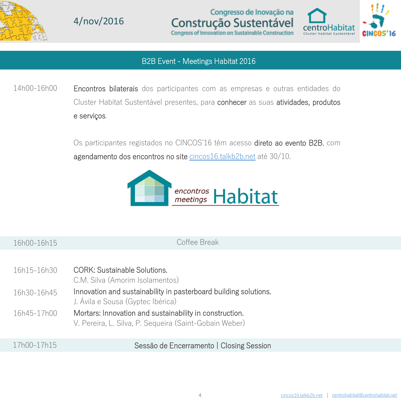

4/nov/2016



#### B2B Event - Meetings Habitat 2016

Encontros bilaterais dos participantes com as empresas e outras entidades do Cluster Habitat Sustentável presentes, para conhecer as suas atividades, produtos e serviços. 14h00-16h00

> Os participantes registados no CINCOS'16 têm acesso direto ao evento B2B, com agendamento dos encontros no site <cincos16.talkb2b.net> até 30/10.



16h00-16h15 Coffee Break

| 16h15-16h30 | CORK: Sustainable Solutions.<br>C.M. Silva (Amorim Isolamentos)                                                   |
|-------------|-------------------------------------------------------------------------------------------------------------------|
| 16h30-16h45 | Innovation and sustainability in pasterboard building solutions.<br>J. Ávila e Sousa (Gyptec Ibérica)             |
| 16h45-17h00 | Mortars: Innovation and sustainability in construction.<br>V. Pereira, L. Silva, P. Sequeira (Saint-Gobain Weber) |

#### Sessão de Encerramento | Closing Session 17h00-17h15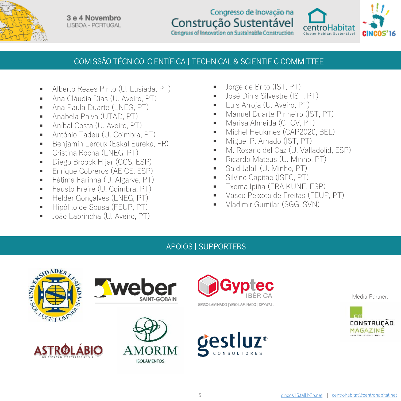

3 e 4 Novembro **LISBOA - PORTUGAL** 

#### Congresso de Inovação na Construção Sustentável Congress of Innovation on Sustainable Construction



### COMISSÃO TÉCNICO-CIENTÍFICA | TECHNICAL & SCIENTIFIC COMMITTEE

- Alberto Reaes Pinto (U. Lusíada, PT)
- Ana Cláudia Dias (U. Aveiro, PT)
- Ana Paula Duarte (LNEG, PT)
- **-** Anabela Paiva (UTAD, PT)
- Aníbal Costa (U. Aveiro, PT)
- António Tadeu (U. Coimbra, PT)
- Benjamin Leroux (Eskal Eureka, FR)
- Cristina Rocha (LNEG, PT)
- **Diego Broock Hijar (CCS, ESP)**
- **Enrique Cobreros (AEICE, ESP)**
- **Fátima Farinha (U. Algarve, PT)**
- Fausto Freire (U. Coimbra, PT)
- **H**élder Goncalves (LNEG, PT)
- Hipólito de Sousa (FEUP, PT)
- João Labrincha (U. Aveiro, PT)
- Jorge de Brito (IST, PT)
- José Dinis Silvestre (IST, PT)
- **Luis Arroja (U. Aveiro, PT)**
- Manuel Duarte Pinheiro (IST, PT)
- **Marisa Almeida (CTCV, PT)**
- **Michel Heukmes (CAP2020, BEL)**
- **Miguel P. Amado (IST, PT)**
- M. Rosario del Caz (U. Valladolid, ESP)
- Ricardo Mateus (U. Minho, PT)
- Said Jalali (U. Minho, PT)
- **Silvino Capitão (ISEC, PT)**
- **Txema Ipiña (ERAIKUNE, ESP)**
- Vasco Peixoto de Freitas (FEUP, PT)
- Vladimir Gumilar (SGG, SVN)

#### APOIOS | SUPPORTERS



Media Partner:

MAGAZINE